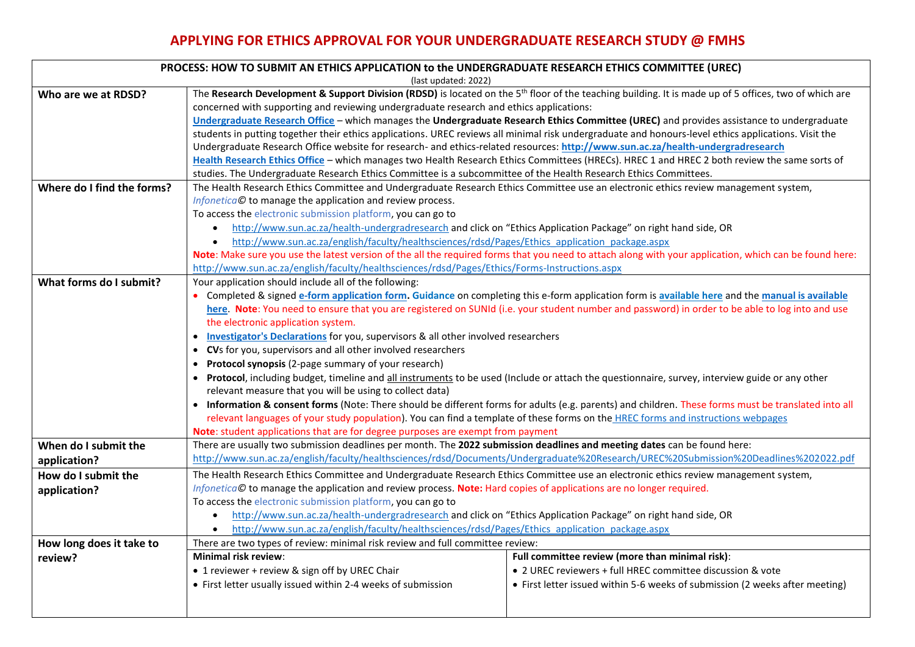## **APPLYING FOR ETHICS APPROVAL FOR YOUR UNDERGRADUATE RESEARCH STUDY @ FMHS**

| PROCESS: HOW TO SUBMIT AN ETHICS APPLICATION to the UNDERGRADUATE RESEARCH ETHICS COMMITTEE (UREC) |                                                                                                                                                                   |                                                                              |  |  |  |
|----------------------------------------------------------------------------------------------------|-------------------------------------------------------------------------------------------------------------------------------------------------------------------|------------------------------------------------------------------------------|--|--|--|
| (last updated: 2022)                                                                               |                                                                                                                                                                   |                                                                              |  |  |  |
| Who are we at RDSD?                                                                                | The Research Development & Support Division (RDSD) is located on the 5 <sup>th</sup> floor of the teaching building. It is made up of 5 offices, two of which are |                                                                              |  |  |  |
|                                                                                                    | concerned with supporting and reviewing undergraduate research and ethics applications:                                                                           |                                                                              |  |  |  |
|                                                                                                    | Undergraduate Research Office - which manages the Undergraduate Research Ethics Committee (UREC) and provides assistance to undergraduate                         |                                                                              |  |  |  |
|                                                                                                    | students in putting together their ethics applications. UREC reviews all minimal risk undergraduate and honours-level ethics applications. Visit the              |                                                                              |  |  |  |
|                                                                                                    | Undergraduate Research Office website for research- and ethics-related resources: http://www.sun.ac.za/health-undergradresearch                                   |                                                                              |  |  |  |
|                                                                                                    | Health Research Ethics Office - which manages two Health Research Ethics Committees (HRECs). HREC 1 and HREC 2 both review the same sorts of                      |                                                                              |  |  |  |
|                                                                                                    | studies. The Undergraduate Research Ethics Committee is a subcommittee of the Health Research Ethics Committees.                                                  |                                                                              |  |  |  |
| Where do I find the forms?                                                                         | The Health Research Ethics Committee and Undergraduate Research Ethics Committee use an electronic ethics review management system,                               |                                                                              |  |  |  |
|                                                                                                    | Infonetica© to manage the application and review process.                                                                                                         |                                                                              |  |  |  |
|                                                                                                    | To access the electronic submission platform, you can go to                                                                                                       |                                                                              |  |  |  |
|                                                                                                    | http://www.sun.ac.za/health-undergradresearch and click on "Ethics Application Package" on right hand side, OR<br>$\bullet$                                       |                                                                              |  |  |  |
|                                                                                                    | http://www.sun.ac.za/english/faculty/healthsciences/rdsd/Pages/Ethics application package.aspx<br>$\bullet$                                                       |                                                                              |  |  |  |
|                                                                                                    | Note: Make sure you use the latest version of the all the required forms that you need to attach along with your application, which can be found here:            |                                                                              |  |  |  |
|                                                                                                    | http://www.sun.ac.za/english/faculty/healthsciences/rdsd/Pages/Ethics/Forms-Instructions.aspx                                                                     |                                                                              |  |  |  |
| What forms do I submit?                                                                            | Your application should include all of the following:                                                                                                             |                                                                              |  |  |  |
|                                                                                                    | • Completed & signed e-form application form. Guidance on completing this e-form application form is available here and the manual is available                   |                                                                              |  |  |  |
|                                                                                                    | here. Note: You need to ensure that you are registered on SUNId (i.e. your student number and password) in order to be able to log into and use                   |                                                                              |  |  |  |
|                                                                                                    | the electronic application system.                                                                                                                                |                                                                              |  |  |  |
|                                                                                                    | Investigator's Declarations for you, supervisors & all other involved researchers<br>$\bullet$                                                                    |                                                                              |  |  |  |
|                                                                                                    | • CVs for you, supervisors and all other involved researchers                                                                                                     |                                                                              |  |  |  |
|                                                                                                    | • Protocol synopsis (2-page summary of your research)                                                                                                             |                                                                              |  |  |  |
|                                                                                                    | • Protocol, including budget, timeline and all instruments to be used (Include or attach the questionnaire, survey, interview guide or any other                  |                                                                              |  |  |  |
|                                                                                                    | relevant measure that you will be using to collect data)                                                                                                          |                                                                              |  |  |  |
|                                                                                                    | • Information & consent forms (Note: There should be different forms for adults (e.g. parents) and children. These forms must be translated into all              |                                                                              |  |  |  |
|                                                                                                    | relevant languages of your study population). You can find a template of these forms on the HREC forms and instructions webpages                                  |                                                                              |  |  |  |
|                                                                                                    | Note: student applications that are for degree purposes are exempt from payment                                                                                   |                                                                              |  |  |  |
| When do I submit the                                                                               | There are usually two submission deadlines per month. The 2022 submission deadlines and meeting dates can be found here:                                          |                                                                              |  |  |  |
| application?                                                                                       | http://www.sun.ac.za/english/faculty/healthsciences/rdsd/Documents/Undergraduate%20Research/UREC%20Submission%20Deadlines%202022.pdf                              |                                                                              |  |  |  |
| How do I submit the                                                                                | The Health Research Ethics Committee and Undergraduate Research Ethics Committee use an electronic ethics review management system,                               |                                                                              |  |  |  |
| application?                                                                                       | Infonetica© to manage the application and review process. Note: Hard copies of applications are no longer required.                                               |                                                                              |  |  |  |
|                                                                                                    | To access the electronic submission platform, you can go to                                                                                                       |                                                                              |  |  |  |
|                                                                                                    | http://www.sun.ac.za/health-undergradresearch and click on "Ethics Application Package" on right hand side, OR<br>$\bullet$                                       |                                                                              |  |  |  |
|                                                                                                    | http://www.sun.ac.za/english/faculty/healthsciences/rdsd/Pages/Ethics application package.aspx<br>$\bullet$                                                       |                                                                              |  |  |  |
| How long does it take to                                                                           | There are two types of review: minimal risk review and full committee review:                                                                                     |                                                                              |  |  |  |
| review?                                                                                            | Minimal risk review:                                                                                                                                              | Full committee review (more than minimal risk):                              |  |  |  |
|                                                                                                    | • 1 reviewer + review & sign off by UREC Chair                                                                                                                    | • 2 UREC reviewers + full HREC committee discussion & vote                   |  |  |  |
|                                                                                                    | • First letter usually issued within 2-4 weeks of submission                                                                                                      | • First letter issued within 5-6 weeks of submission (2 weeks after meeting) |  |  |  |
|                                                                                                    |                                                                                                                                                                   |                                                                              |  |  |  |
|                                                                                                    |                                                                                                                                                                   |                                                                              |  |  |  |